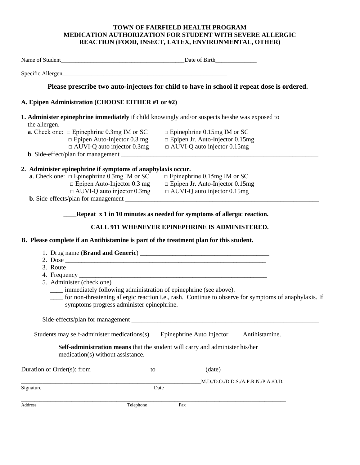## **TOWN OF FAIRFIELD HEALTH PROGRAM MEDICATION AUTHORIZATION FOR STUDENT WITH SEVERE ALLERGIC REACTION (FOOD, INSECT, LATEX, ENVIRONMENTAL, OTHER)**

|                                                                                                                 | Please prescribe two auto-injectors for child to have in school if repeat dose is ordered.                 |
|-----------------------------------------------------------------------------------------------------------------|------------------------------------------------------------------------------------------------------------|
| A. Epipen Administration (CHOOSE EITHER #1 or #2)                                                               |                                                                                                            |
| 1. Administer epinephrine immediately if child knowingly and/or suspects he/she was exposed to<br>the allergen. |                                                                                                            |
| <b>a</b> . Check one: $\Box$ Epinephrine 0.3mg IM or SC                                                         | $\Box$ Epinephrine 0.15mg IM or SC                                                                         |
| $\Box$ Epipen Auto-Injector 0.3 mg                                                                              | $\Box$ Epipen Jr. Auto-Injector 0.15mg                                                                     |
| $\Box$ AUVI-Q auto injector 0.3mg                                                                               | $\Box$ AUVI-Q auto injector 0.15mg                                                                         |
|                                                                                                                 |                                                                                                            |
| 2. Administer epinephrine if symptoms of anaphylaxis occur.                                                     |                                                                                                            |
| <b>a.</b> Check one: $\Box$ Epinephrine 0.3mg IM or SC                                                          | $\Box$ Epinephrine 0.15mg IM or SC                                                                         |
| $\Box$ Epipen Auto-Injector 0.3 mg                                                                              | $\Box$ Epipen Jr. Auto-Injector 0.15mg                                                                     |
| $\Box$ AUVI-Q auto injector 0.3mg                                                                               | $\Box$ AUVI-Q auto injector 0.15mg                                                                         |
|                                                                                                                 |                                                                                                            |
|                                                                                                                 | Repeat x 1 in 10 minutes as needed for symptoms of allergic reaction.                                      |
|                                                                                                                 |                                                                                                            |
|                                                                                                                 | <b>CALL 911 WHENEVER EPINEPHRINE IS ADMINISTERED.</b>                                                      |
| B. Please complete if an Antihistamine is part of the treatment plan for this student.                          |                                                                                                            |
|                                                                                                                 |                                                                                                            |
|                                                                                                                 |                                                                                                            |
|                                                                                                                 |                                                                                                            |
|                                                                                                                 |                                                                                                            |
| 5. Administer (check one)                                                                                       |                                                                                                            |
| ___ immediately following administration of epinephrine (see above).                                            |                                                                                                            |
|                                                                                                                 | ____ for non-threatening allergic reaction i.e., rash. Continue to observe for symptoms of anaphylaxis. If |
| symptoms progress administer epinephrine.                                                                       |                                                                                                            |
|                                                                                                                 |                                                                                                            |
|                                                                                                                 |                                                                                                            |
|                                                                                                                 |                                                                                                            |
| Students may self-administer medications(s)                                                                     | Epinephrine Auto Injector _____ Antihistamine.                                                             |

 **Self-administration means** that the student will carry and administer his/her medication(s) without assistance.

Duration of Order(s): from \_\_\_\_\_\_\_\_\_\_\_\_\_\_\_\_\_\_to \_\_\_\_\_\_\_\_\_\_\_\_\_\_\_(date)

 $\underline{\text{M.D.}/\text{D.O.}/\text{D.D.S.}/\text{A.P.R.N.}/\text{P.A.}/\text{O.D.}}$ Date

\_\_\_\_\_\_\_\_\_\_\_\_\_\_\_\_\_\_\_\_\_\_\_\_\_\_\_\_\_\_\_\_\_\_\_\_\_\_\_\_\_\_\_\_\_\_\_\_\_\_\_\_\_\_\_\_\_\_\_\_\_\_\_\_\_\_\_\_\_\_\_\_\_\_\_\_\_\_\_\_\_\_\_\_\_\_\_\_\_\_\_\_\_\_\_\_\_\_\_\_

 $Signature$ 

Address Telephone Fax